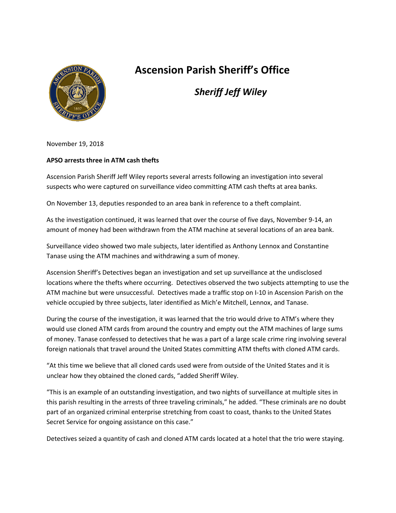

## **Ascension Parish Sheriff's Office**

*Sheriff Jeff Wiley*

November 19, 2018

## **APSO arrests three in ATM cash thefts**

Ascension Parish Sheriff Jeff Wiley reports several arrests following an investigation into several suspects who were captured on surveillance video committing ATM cash thefts at area banks.

On November 13, deputies responded to an area bank in reference to a theft complaint.

As the investigation continued, it was learned that over the course of five days, November 9-14, an amount of money had been withdrawn from the ATM machine at several locations of an area bank.

Surveillance video showed two male subjects, later identified as Anthony Lennox and Constantine Tanase using the ATM machines and withdrawing a sum of money.

Ascension Sheriff's Detectives began an investigation and set up surveillance at the undisclosed locations where the thefts where occurring. Detectives observed the two subjects attempting to use the ATM machine but were unsuccessful. Detectives made a traffic stop on I-10 in Ascension Parish on the vehicle occupied by three subjects, later identified as Mich'e Mitchell, Lennox, and Tanase.

During the course of the investigation, it was learned that the trio would drive to ATM's where they would use cloned ATM cards from around the country and empty out the ATM machines of large sums of money. Tanase confessed to detectives that he was a part of a large scale crime ring involving several foreign nationals that travel around the United States committing ATM thefts with cloned ATM cards.

"At this time we believe that all cloned cards used were from outside of the United States and it is unclear how they obtained the cloned cards, "added Sheriff Wiley.

"This is an example of an outstanding investigation, and two nights of surveillance at multiple sites in this parish resulting in the arrests of three traveling criminals," he added. "These criminals are no doubt part of an organized criminal enterprise stretching from coast to coast, thanks to the United States Secret Service for ongoing assistance on this case."

Detectives seized a quantity of cash and cloned ATM cards located at a hotel that the trio were staying.